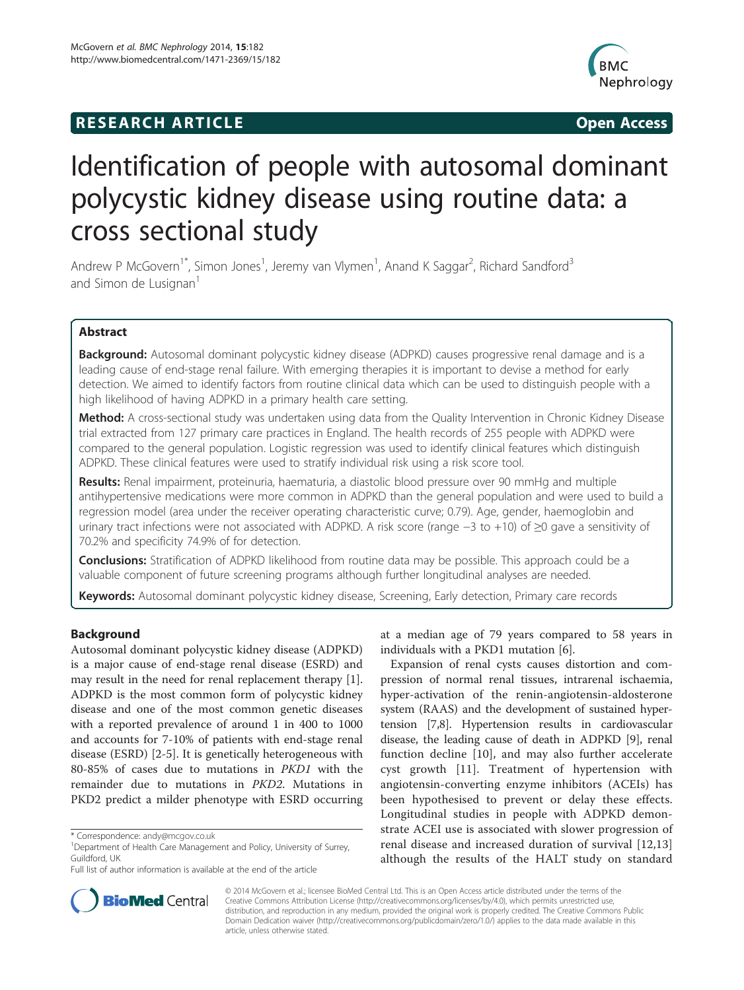# **RESEARCH ARTICLE Example 2014 CONSIDERING CONSIDERING CONSIDERING CONSIDERING CONSIDERING CONSIDERING CONSIDERING CONSIDERING CONSIDERING CONSIDERING CONSIDERING CONSIDERING CONSIDERING CONSIDERING CONSIDERING CONSIDE**



# Identification of people with autosomal dominant polycystic kidney disease using routine data: a cross sectional study

Andrew P McGovern<sup>1\*</sup>, Simon Jones<sup>1</sup>, Jeremy van Vlymen<sup>1</sup>, Anand K Saggar<sup>2</sup>, Richard Sandford<sup>3</sup> and Simon de Lusignan<sup>1</sup>

# Abstract

**Background:** Autosomal dominant polycystic kidney disease (ADPKD) causes progressive renal damage and is a leading cause of end-stage renal failure. With emerging therapies it is important to devise a method for early detection. We aimed to identify factors from routine clinical data which can be used to distinguish people with a high likelihood of having ADPKD in a primary health care setting.

Method: A cross-sectional study was undertaken using data from the Quality Intervention in Chronic Kidney Disease trial extracted from 127 primary care practices in England. The health records of 255 people with ADPKD were compared to the general population. Logistic regression was used to identify clinical features which distinguish ADPKD. These clinical features were used to stratify individual risk using a risk score tool.

Results: Renal impairment, proteinuria, haematuria, a diastolic blood pressure over 90 mmHg and multiple antihypertensive medications were more common in ADPKD than the general population and were used to build a regression model (area under the receiver operating characteristic curve; 0.79). Age, gender, haemoglobin and urinary tract infections were not associated with ADPKD. A risk score (range −3 to +10) of ≥0 gave a sensitivity of 70.2% and specificity 74.9% of for detection.

**Conclusions:** Stratification of ADPKD likelihood from routine data may be possible. This approach could be a valuable component of future screening programs although further longitudinal analyses are needed.

Keywords: Autosomal dominant polycystic kidney disease, Screening, Early detection, Primary care records

# Background

Autosomal dominant polycystic kidney disease (ADPKD) is a major cause of end-stage renal disease (ESRD) and may result in the need for renal replacement therapy [\[1](#page-5-0)]. ADPKD is the most common form of polycystic kidney disease and one of the most common genetic diseases with a reported prevalence of around 1 in 400 to 1000 and accounts for 7-10% of patients with end-stage renal disease (ESRD) [\[2](#page-6-0)-[5\]](#page-6-0). It is genetically heterogeneous with 80-85% of cases due to mutations in PKD1 with the remainder due to mutations in PKD2. Mutations in PKD2 predict a milder phenotype with ESRD occurring

at a median age of 79 years compared to 58 years in individuals with a PKD1 mutation [\[6](#page-6-0)].

Expansion of renal cysts causes distortion and compression of normal renal tissues, intrarenal ischaemia, hyper-activation of the renin-angiotensin-aldosterone system (RAAS) and the development of sustained hypertension [\[7,8\]](#page-6-0). Hypertension results in cardiovascular disease, the leading cause of death in ADPKD [\[9](#page-6-0)], renal function decline [[10\]](#page-6-0), and may also further accelerate cyst growth [\[11](#page-6-0)]. Treatment of hypertension with angiotensin-converting enzyme inhibitors (ACEIs) has been hypothesised to prevent or delay these effects. Longitudinal studies in people with ADPKD demonstrate ACEI use is associated with slower progression of renal disease and increased duration of survival [\[12,13](#page-6-0)] although the results of the HALT study on standard



© 2014 McGovern et al.; licensee BioMed Central Ltd. This is an Open Access article distributed under the terms of the Creative Commons Attribution License (<http://creativecommons.org/licenses/by/4.0>), which permits unrestricted use, distribution, and reproduction in any medium, provided the original work is properly credited. The Creative Commons Public Domain Dedication waiver [\(http://creativecommons.org/publicdomain/zero/1.0/\)](http://creativecommons.org/publicdomain/zero/1.0/) applies to the data made available in this article, unless otherwise stated.

<sup>\*</sup> Correspondence: [andy@mcgov.co.uk](mailto:andy@mcgov.co.uk) <sup>1</sup>

<sup>&</sup>lt;sup>1</sup>Department of Health Care Management and Policy, University of Surrey, Guildford, UK

Full list of author information is available at the end of the article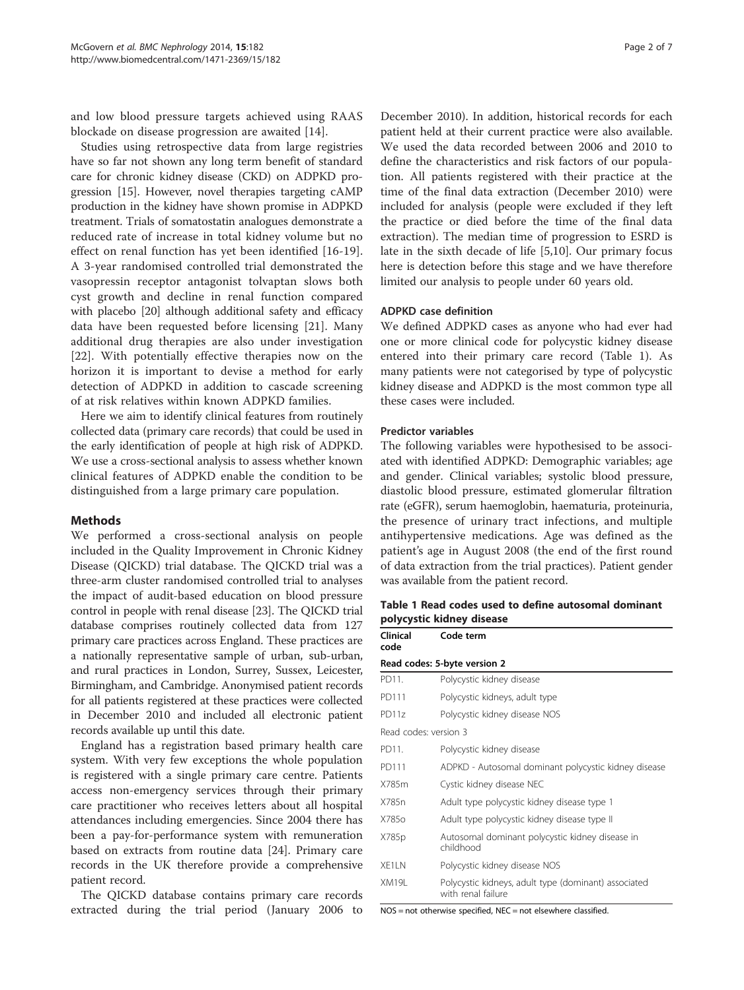and low blood pressure targets achieved using RAAS blockade on disease progression are awaited [\[14](#page-6-0)].

Studies using retrospective data from large registries have so far not shown any long term benefit of standard care for chronic kidney disease (CKD) on ADPKD progression [\[15\]](#page-6-0). However, novel therapies targeting cAMP production in the kidney have shown promise in ADPKD treatment. Trials of somatostatin analogues demonstrate a reduced rate of increase in total kidney volume but no effect on renal function has yet been identified [\[16-19](#page-6-0)]. A 3-year randomised controlled trial demonstrated the vasopressin receptor antagonist tolvaptan slows both cyst growth and decline in renal function compared with placebo [\[20\]](#page-6-0) although additional safety and efficacy data have been requested before licensing [[21\]](#page-6-0). Many additional drug therapies are also under investigation [[22\]](#page-6-0). With potentially effective therapies now on the horizon it is important to devise a method for early detection of ADPKD in addition to cascade screening of at risk relatives within known ADPKD families.

Here we aim to identify clinical features from routinely collected data (primary care records) that could be used in the early identification of people at high risk of ADPKD. We use a cross-sectional analysis to assess whether known clinical features of ADPKD enable the condition to be distinguished from a large primary care population.

# Methods

We performed a cross-sectional analysis on people included in the Quality Improvement in Chronic Kidney Disease (QICKD) trial database. The QICKD trial was a three-arm cluster randomised controlled trial to analyses the impact of audit-based education on blood pressure control in people with renal disease [[23](#page-6-0)]. The QICKD trial database comprises routinely collected data from 127 primary care practices across England. These practices are a nationally representative sample of urban, sub-urban, and rural practices in London, Surrey, Sussex, Leicester, Birmingham, and Cambridge. Anonymised patient records for all patients registered at these practices were collected in December 2010 and included all electronic patient records available up until this date.

England has a registration based primary health care system. With very few exceptions the whole population is registered with a single primary care centre. Patients access non-emergency services through their primary care practitioner who receives letters about all hospital attendances including emergencies. Since 2004 there has been a pay-for-performance system with remuneration based on extracts from routine data [[24](#page-6-0)]. Primary care records in the UK therefore provide a comprehensive patient record.

The QICKD database contains primary care records extracted during the trial period (January 2006 to December 2010). In addition, historical records for each patient held at their current practice were also available. We used the data recorded between 2006 and 2010 to define the characteristics and risk factors of our population. All patients registered with their practice at the time of the final data extraction (December 2010) were included for analysis (people were excluded if they left the practice or died before the time of the final data extraction). The median time of progression to ESRD is late in the sixth decade of life [[5,10\]](#page-6-0). Our primary focus here is detection before this stage and we have therefore limited our analysis to people under 60 years old.

# ADPKD case definition

We defined ADPKD cases as anyone who had ever had one or more clinical code for polycystic kidney disease entered into their primary care record (Table 1). As many patients were not categorised by type of polycystic kidney disease and ADPKD is the most common type all these cases were included.

# Predictor variables

The following variables were hypothesised to be associated with identified ADPKD: Demographic variables; age and gender. Clinical variables; systolic blood pressure, diastolic blood pressure, estimated glomerular filtration rate (eGFR), serum haemoglobin, haematuria, proteinuria, the presence of urinary tract infections, and multiple antihypertensive medications. Age was defined as the patient's age in August 2008 (the end of the first round of data extraction from the trial practices). Patient gender was available from the patient record.

Table 1 Read codes used to define autosomal dominant polycystic kidney disease

| Clinical<br>code | Code term                                                                  |  |  |  |
|------------------|----------------------------------------------------------------------------|--|--|--|
|                  | Read codes: 5-byte version 2                                               |  |  |  |
| PD11.            | Polycystic kidney disease                                                  |  |  |  |
| PD111            | Polycystic kidneys, adult type                                             |  |  |  |
| <b>PD11z</b>     | Polycystic kidney disease NOS                                              |  |  |  |
|                  | Read codes: version 3                                                      |  |  |  |
| PD11.            | Polycystic kidney disease                                                  |  |  |  |
| PD111            | ADPKD - Autosomal dominant polycystic kidney disease                       |  |  |  |
| X785m            | Cystic kidney disease NEC                                                  |  |  |  |
| X785n            | Adult type polycystic kidney disease type 1                                |  |  |  |
| X7850            | Adult type polycystic kidney disease type II                               |  |  |  |
| X785p            | Autosomal dominant polycystic kidney disease in<br>childhood               |  |  |  |
| XE1LN            | Polycystic kidney disease NOS                                              |  |  |  |
| XM19I            | Polycystic kidneys, adult type (dominant) associated<br>with renal failure |  |  |  |

NOS = not otherwise specified, NEC = not elsewhere classified.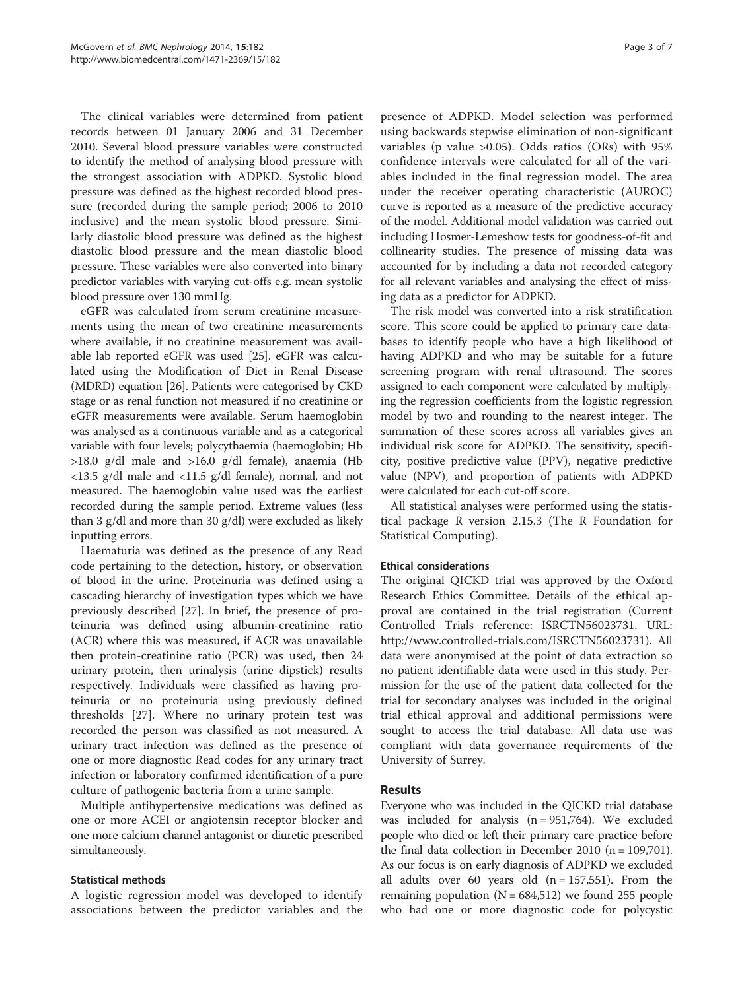The clinical variables were determined from patient records between 01 January 2006 and 31 December 2010. Several blood pressure variables were constructed to identify the method of analysing blood pressure with the strongest association with ADPKD. Systolic blood pressure was defined as the highest recorded blood pressure (recorded during the sample period; 2006 to 2010 inclusive) and the mean systolic blood pressure. Similarly diastolic blood pressure was defined as the highest diastolic blood pressure and the mean diastolic blood pressure. These variables were also converted into binary predictor variables with varying cut-offs e.g. mean systolic blood pressure over 130 mmHg.

eGFR was calculated from serum creatinine measurements using the mean of two creatinine measurements where available, if no creatinine measurement was available lab reported eGFR was used [\[25\]](#page-6-0). eGFR was calculated using the Modification of Diet in Renal Disease (MDRD) equation [[26](#page-6-0)]. Patients were categorised by CKD stage or as renal function not measured if no creatinine or eGFR measurements were available. Serum haemoglobin was analysed as a continuous variable and as a categorical variable with four levels; polycythaemia (haemoglobin; Hb >18.0 g/dl male and >16.0 g/dl female), anaemia (Hb <13.5 g/dl male and <11.5 g/dl female), normal, and not measured. The haemoglobin value used was the earliest recorded during the sample period. Extreme values (less than 3 g/dl and more than 30 g/dl) were excluded as likely inputting errors.

Haematuria was defined as the presence of any Read code pertaining to the detection, history, or observation of blood in the urine. Proteinuria was defined using a cascading hierarchy of investigation types which we have previously described [\[27\]](#page-6-0). In brief, the presence of proteinuria was defined using albumin-creatinine ratio (ACR) where this was measured, if ACR was unavailable then protein-creatinine ratio (PCR) was used, then 24 urinary protein, then urinalysis (urine dipstick) results respectively. Individuals were classified as having proteinuria or no proteinuria using previously defined thresholds [[27\]](#page-6-0). Where no urinary protein test was recorded the person was classified as not measured. A urinary tract infection was defined as the presence of one or more diagnostic Read codes for any urinary tract infection or laboratory confirmed identification of a pure culture of pathogenic bacteria from a urine sample.

Multiple antihypertensive medications was defined as one or more ACEI or angiotensin receptor blocker and one more calcium channel antagonist or diuretic prescribed simultaneously.

# Statistical methods

A logistic regression model was developed to identify associations between the predictor variables and the

presence of ADPKD. Model selection was performed using backwards stepwise elimination of non-significant variables (p value >0.05). Odds ratios (ORs) with 95% confidence intervals were calculated for all of the variables included in the final regression model. The area under the receiver operating characteristic (AUROC) curve is reported as a measure of the predictive accuracy of the model. Additional model validation was carried out including Hosmer-Lemeshow tests for goodness-of-fit and collinearity studies. The presence of missing data was accounted for by including a data not recorded category for all relevant variables and analysing the effect of missing data as a predictor for ADPKD.

The risk model was converted into a risk stratification score. This score could be applied to primary care databases to identify people who have a high likelihood of having ADPKD and who may be suitable for a future screening program with renal ultrasound. The scores assigned to each component were calculated by multiplying the regression coefficients from the logistic regression model by two and rounding to the nearest integer. The summation of these scores across all variables gives an individual risk score for ADPKD. The sensitivity, specificity, positive predictive value (PPV), negative predictive value (NPV), and proportion of patients with ADPKD were calculated for each cut-off score.

All statistical analyses were performed using the statistical package R version 2.15.3 (The R Foundation for Statistical Computing).

# Ethical considerations

The original QICKD trial was approved by the Oxford Research Ethics Committee. Details of the ethical approval are contained in the trial registration (Current Controlled Trials reference: ISRCTN56023731. URL: [http://www.controlled-trials.com/ISRCTN56023731\)](http://www.controlled-trials.com/ISRCTN56023731). All data were anonymised at the point of data extraction so no patient identifiable data were used in this study. Permission for the use of the patient data collected for the trial for secondary analyses was included in the original trial ethical approval and additional permissions were sought to access the trial database. All data use was compliant with data governance requirements of the University of Surrey.

# Results

Everyone who was included in the QICKD trial database was included for analysis  $(n = 951,764)$ . We excluded people who died or left their primary care practice before the final data collection in December 2010 ( $n = 109,701$ ). As our focus is on early diagnosis of ADPKD we excluded all adults over 60 years old  $(n = 157,551)$ . From the remaining population ( $N = 684,512$ ) we found 255 people who had one or more diagnostic code for polycystic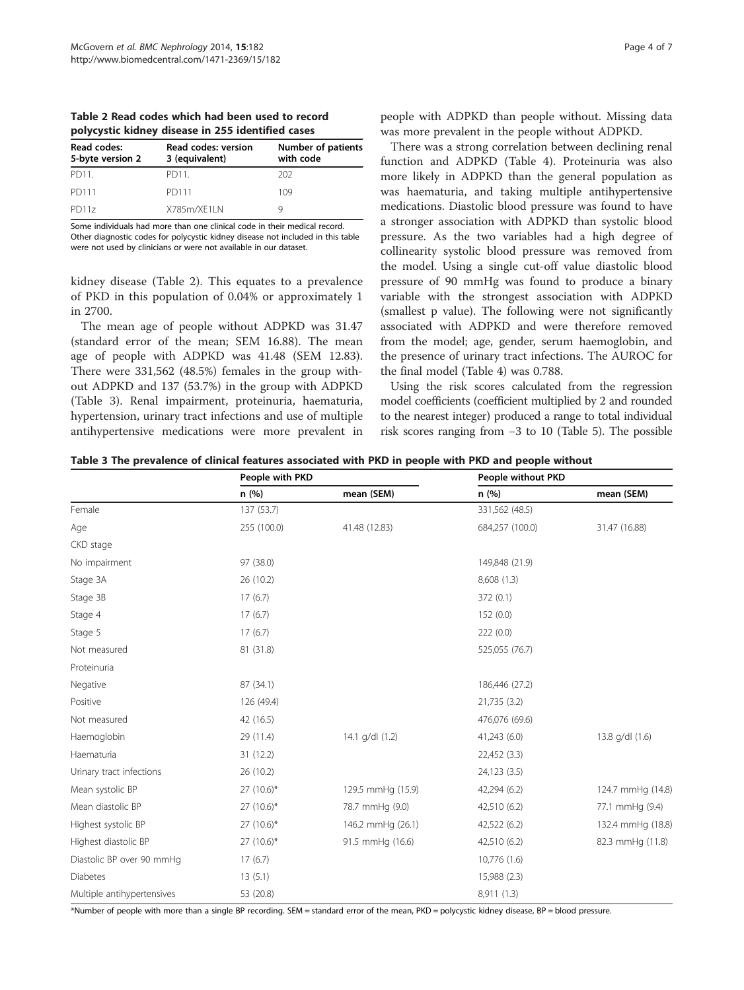Table 2 Read codes which had been used to record polycystic kidney disease in 255 identified cases

| Read codes:<br>5-byte version 2 | Read codes: version<br>3 (equivalent) | <b>Number of patients</b><br>with code |
|---------------------------------|---------------------------------------|----------------------------------------|
| PD11.                           | PD11.                                 | 202                                    |
| <b>PD111</b>                    | PD111                                 | 109                                    |
| PD <sub>117</sub>               | X785m/XE1LN                           |                                        |

Some individuals had more than one clinical code in their medical record. Other diagnostic codes for polycystic kidney disease not included in this table were not used by clinicians or were not available in our dataset.

kidney disease (Table 2). This equates to a prevalence of PKD in this population of 0.04% or approximately 1 in 2700.

The mean age of people without ADPKD was 31.47 (standard error of the mean; SEM 16.88). The mean age of people with ADPKD was 41.48 (SEM 12.83). There were 331,562 (48.5%) females in the group without ADPKD and 137 (53.7%) in the group with ADPKD (Table 3). Renal impairment, proteinuria, haematuria, hypertension, urinary tract infections and use of multiple antihypertensive medications were more prevalent in

There was a strong correlation between declining renal function and ADPKD (Table [4\)](#page-4-0). Proteinuria was also more likely in ADPKD than the general population as was haematuria, and taking multiple antihypertensive medications. Diastolic blood pressure was found to have a stronger association with ADPKD than systolic blood pressure. As the two variables had a high degree of collinearity systolic blood pressure was removed from the model. Using a single cut-off value diastolic blood pressure of 90 mmHg was found to produce a binary variable with the strongest association with ADPKD (smallest p value). The following were not significantly associated with ADPKD and were therefore removed from the model; age, gender, serum haemoglobin, and the presence of urinary tract infections. The AUROC for the final model (Table [4\)](#page-4-0) was 0.788.

Using the risk scores calculated from the regression model coefficients (coefficient multiplied by 2 and rounded to the nearest integer) produced a range to total individual risk scores ranging from −3 to 10 (Table [5](#page-4-0)). The possible

| Table 3 The prevalence of clinical features associated with PKD in people with PKD and people without |  |  |  |  |
|-------------------------------------------------------------------------------------------------------|--|--|--|--|
|-------------------------------------------------------------------------------------------------------|--|--|--|--|

|                            | People with PKD |                   | People without PKD |                   |
|----------------------------|-----------------|-------------------|--------------------|-------------------|
|                            | n (%)           | mean (SEM)        | n (%)              | mean (SEM)        |
| Female                     | 137 (53.7)      |                   | 331,562 (48.5)     |                   |
| Age                        | 255 (100.0)     | 41.48 (12.83)     | 684,257 (100.0)    | 31.47 (16.88)     |
| CKD stage                  |                 |                   |                    |                   |
| No impairment              | 97 (38.0)       |                   | 149,848 (21.9)     |                   |
| Stage 3A                   | 26 (10.2)       |                   | 8,608 (1.3)        |                   |
| Stage 3B                   | 17(6.7)         |                   | 372 (0.1)          |                   |
| Stage 4                    | 17(6.7)         |                   | 152(0.0)           |                   |
| Stage 5                    | 17(6.7)         |                   | 222 (0.0)          |                   |
| Not measured               | 81 (31.8)       |                   | 525,055 (76.7)     |                   |
| Proteinuria                |                 |                   |                    |                   |
| Negative                   | 87 (34.1)       |                   | 186,446 (27.2)     |                   |
| Positive                   | 126 (49.4)      |                   | 21,735 (3.2)       |                   |
| Not measured               | 42 (16.5)       |                   | 476,076 (69.6)     |                   |
| Haemoglobin                | 29 (11.4)       | 14.1 g/dl (1.2)   | 41,243 (6.0)       | 13.8 g/dl (1.6)   |
| Haematuria                 | 31 (12.2)       |                   | 22,452 (3.3)       |                   |
| Urinary tract infections   | 26 (10.2)       |                   | 24,123 (3.5)       |                   |
| Mean systolic BP           | $27(10.6)$ *    | 129.5 mmHg (15.9) | 42,294 (6.2)       | 124.7 mmHg (14.8) |
| Mean diastolic BP          | $27(10.6)$ *    | 78.7 mmHg (9.0)   | 42,510 (6.2)       | 77.1 mmHg (9.4)   |
| Highest systolic BP        | $27(10.6)$ *    | 146.2 mmHg (26.1) | 42,522 (6.2)       | 132.4 mmHg (18.8) |
| Highest diastolic BP       | $27(10.6)$ *    | 91.5 mmHg (16.6)  | 42,510 (6.2)       | 82.3 mmHg (11.8)  |
| Diastolic BP over 90 mmHg  | 17(6.7)         |                   | 10,776 (1.6)       |                   |
| <b>Diabetes</b>            | 13(5.1)         |                   | 15,988 (2.3)       |                   |
| Multiple antihypertensives | 53 (20.8)       |                   | 8,911 (1.3)        |                   |

\*Number of people with more than a single BP recording. SEM = standard error of the mean, PKD = polycystic kidney disease, BP = blood pressure.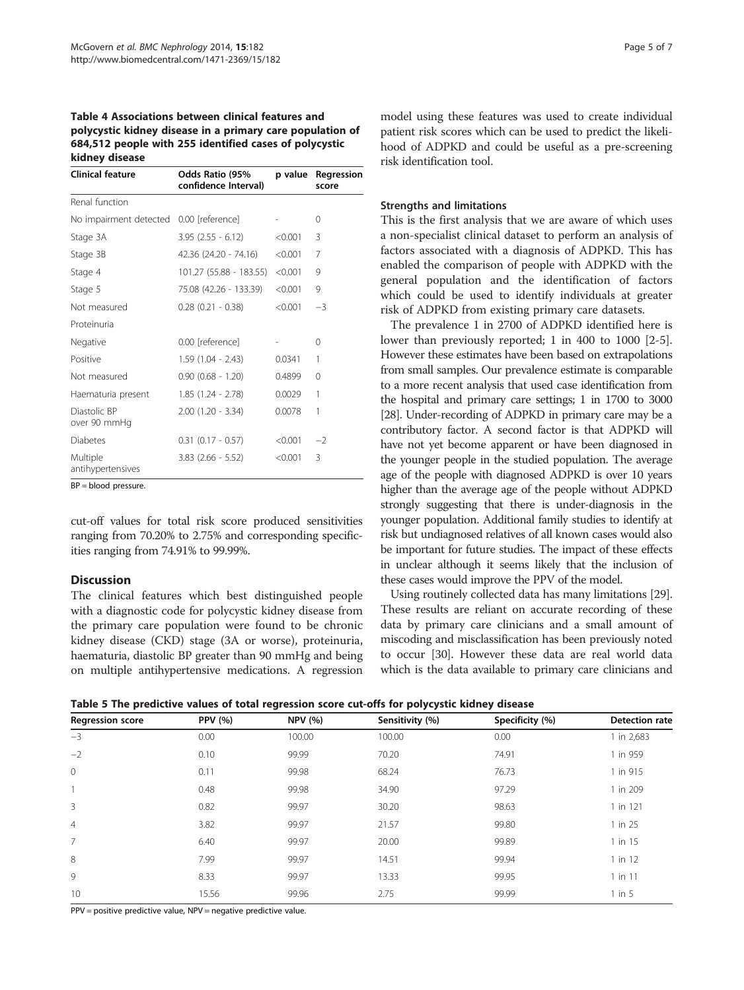<span id="page-4-0"></span>Table 4 Associations between clinical features and polycystic kidney disease in a primary care population of 684,512 people with 255 identified cases of polycystic kidney disease

| <b>Clinical feature</b>       | Odds Ratio (95%<br>confidence Interval) | p value | Regression<br>score |
|-------------------------------|-----------------------------------------|---------|---------------------|
| Renal function                |                                         |         |                     |
| No impairment detected        | 0.00 [reference]                        |         | 0                   |
| Stage 3A                      | $3.95(2.55 - 6.12)$                     | < 0.001 | 3                   |
| Stage 3B                      | 42.36 (24.20 - 74.16)                   | < 0.001 | 7                   |
| Stage 4                       | 101.27 (55.88 - 183.55)                 | < 0.001 | 9                   |
| Stage 5                       | 75.08 (42.26 - 133.39)                  | < 0.001 | 9                   |
| Not measured                  | $0.28$ $(0.21 - 0.38)$                  | < 0.001 | $-3$                |
| Proteinuria                   |                                         |         |                     |
| Negative                      | 0.00 [reference]                        |         | 0                   |
| Positive                      | $1.59(1.04 - 2.43)$                     | 0.0341  | 1                   |
| Not measured                  | $0.90$ $(0.68 - 1.20)$                  | 0.4899  | 0                   |
| Haematuria present            | $1.85(1.24 - 2.78)$                     | 0.0029  | 1                   |
| Diastolic BP<br>over 90 mmHq  | $2.00$ $(1.20 - 3.34)$                  | 0.0078  | 1                   |
| <b>Diabetes</b>               | $0.31$ (0.17 - 0.57)                    | < 0.001 | $-2$                |
| Multiple<br>antihypertensives | 3.83 (2.66 - 5.52)                      | < 0.001 | 3                   |

BP = blood pressure.

cut-off values for total risk score produced sensitivities ranging from 70.20% to 2.75% and corresponding specificities ranging from 74.91% to 99.99%.

# **Discussion**

The clinical features which best distinguished people with a diagnostic code for polycystic kidney disease from the primary care population were found to be chronic kidney disease (CKD) stage (3A or worse), proteinuria, haematuria, diastolic BP greater than 90 mmHg and being on multiple antihypertensive medications. A regression model using these features was used to create individual patient risk scores which can be used to predict the likelihood of ADPKD and could be useful as a pre-screening risk identification tool.

# Strengths and limitations

This is the first analysis that we are aware of which uses a non-specialist clinical dataset to perform an analysis of factors associated with a diagnosis of ADPKD. This has enabled the comparison of people with ADPKD with the general population and the identification of factors which could be used to identify individuals at greater risk of ADPKD from existing primary care datasets.

The prevalence 1 in 2700 of ADPKD identified here is lower than previously reported; 1 in 400 to 1000 [[2-5](#page-6-0)]. However these estimates have been based on extrapolations from small samples. Our prevalence estimate is comparable to a more recent analysis that used case identification from the hospital and primary care settings; 1 in 1700 to 3000 [[28](#page-6-0)]. Under-recording of ADPKD in primary care may be a contributory factor. A second factor is that ADPKD will have not yet become apparent or have been diagnosed in the younger people in the studied population. The average age of the people with diagnosed ADPKD is over 10 years higher than the average age of the people without ADPKD strongly suggesting that there is under-diagnosis in the younger population. Additional family studies to identify at risk but undiagnosed relatives of all known cases would also be important for future studies. The impact of these effects in unclear although it seems likely that the inclusion of these cases would improve the PPV of the model.

Using routinely collected data has many limitations [[29](#page-6-0)]. These results are reliant on accurate recording of these data by primary care clinicians and a small amount of miscoding and misclassification has been previously noted to occur [\[30](#page-6-0)]. However these data are real world data which is the data available to primary care clinicians and

|  | Table 5 The predictive values of total regression score cut-offs for polycystic kidney disease |
|--|------------------------------------------------------------------------------------------------|
|  |                                                                                                |

|                         |                | -              | . .             |                 |                       |
|-------------------------|----------------|----------------|-----------------|-----------------|-----------------------|
| <b>Regression score</b> | <b>PPV</b> (%) | <b>NPV (%)</b> | Sensitivity (%) | Specificity (%) | <b>Detection rate</b> |
| $-3$                    | 0.00           | 100.00         | 100.00          | 0.00            | 1 in 2,683            |
| $-2$                    | 0.10           | 99.99          | 70.20           | 74.91           | 1 in 959              |
| $\mathbf{0}$            | 0.11           | 99.98          | 68.24           | 76.73           | 1 in 915              |
|                         | 0.48           | 99.98          | 34.90           | 97.29           | 1 in 209              |
| 3                       | 0.82           | 99.97          | 30.20           | 98.63           | 1 in 121              |
| $\overline{4}$          | 3.82           | 99.97          | 21.57           | 99.80           | 1 in 25               |
| $\overline{7}$          | 6.40           | 99.97          | 20.00           | 99.89           | 1 in 15               |
| 8                       | 7.99           | 99.97          | 14.51           | 99.94           | 1 in 12               |
| 9                       | 8.33           | 99.97          | 13.33           | 99.95           | 1 in 11               |
| 10                      | 15.56          | 99.96          | 2.75            | 99.99           | $1$ in $5$            |

PPV = positive predictive value, NPV = negative predictive value.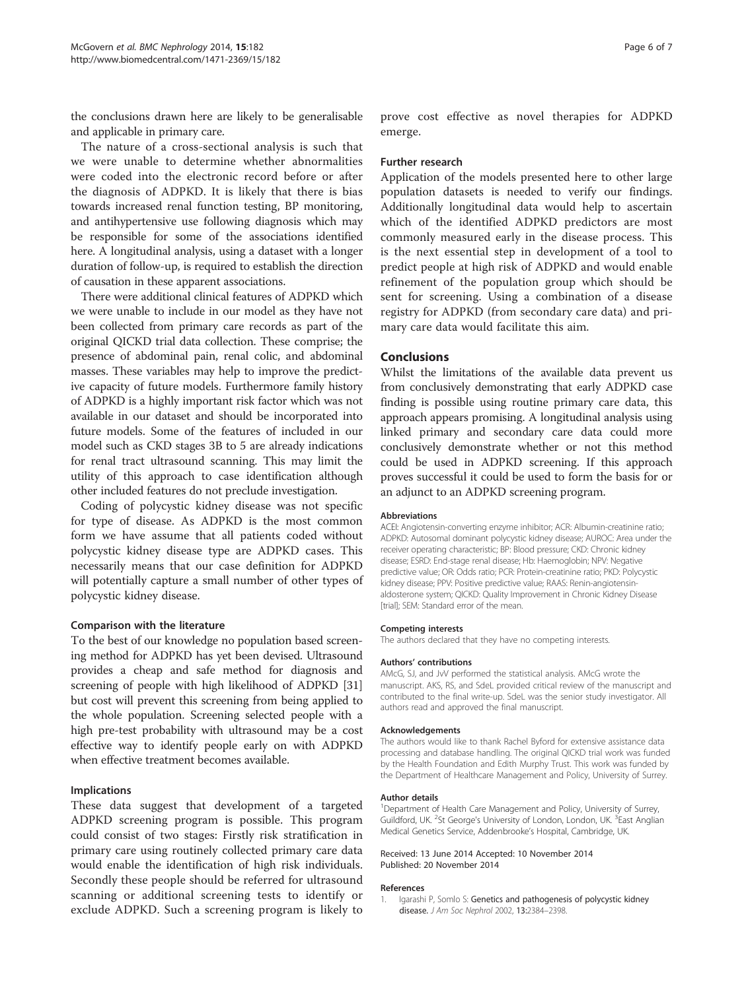<span id="page-5-0"></span>the conclusions drawn here are likely to be generalisable and applicable in primary care.

The nature of a cross-sectional analysis is such that we were unable to determine whether abnormalities were coded into the electronic record before or after the diagnosis of ADPKD. It is likely that there is bias towards increased renal function testing, BP monitoring, and antihypertensive use following diagnosis which may be responsible for some of the associations identified here. A longitudinal analysis, using a dataset with a longer duration of follow-up, is required to establish the direction of causation in these apparent associations.

There were additional clinical features of ADPKD which we were unable to include in our model as they have not been collected from primary care records as part of the original QICKD trial data collection. These comprise; the presence of abdominal pain, renal colic, and abdominal masses. These variables may help to improve the predictive capacity of future models. Furthermore family history of ADPKD is a highly important risk factor which was not available in our dataset and should be incorporated into future models. Some of the features of included in our model such as CKD stages 3B to 5 are already indications for renal tract ultrasound scanning. This may limit the utility of this approach to case identification although other included features do not preclude investigation.

Coding of polycystic kidney disease was not specific for type of disease. As ADPKD is the most common form we have assume that all patients coded without polycystic kidney disease type are ADPKD cases. This necessarily means that our case definition for ADPKD will potentially capture a small number of other types of polycystic kidney disease.

# Comparison with the literature

To the best of our knowledge no population based screening method for ADPKD has yet been devised. Ultrasound provides a cheap and safe method for diagnosis and screening of people with high likelihood of ADPKD [[31](#page-6-0)] but cost will prevent this screening from being applied to the whole population. Screening selected people with a high pre-test probability with ultrasound may be a cost effective way to identify people early on with ADPKD when effective treatment becomes available.

#### Implications

These data suggest that development of a targeted ADPKD screening program is possible. This program could consist of two stages: Firstly risk stratification in primary care using routinely collected primary care data would enable the identification of high risk individuals. Secondly these people should be referred for ultrasound scanning or additional screening tests to identify or exclude ADPKD. Such a screening program is likely to prove cost effective as novel therapies for ADPKD emerge.

### Further research

Application of the models presented here to other large population datasets is needed to verify our findings. Additionally longitudinal data would help to ascertain which of the identified ADPKD predictors are most commonly measured early in the disease process. This is the next essential step in development of a tool to predict people at high risk of ADPKD and would enable refinement of the population group which should be sent for screening. Using a combination of a disease registry for ADPKD (from secondary care data) and primary care data would facilitate this aim.

# Conclusions

Whilst the limitations of the available data prevent us from conclusively demonstrating that early ADPKD case finding is possible using routine primary care data, this approach appears promising. A longitudinal analysis using linked primary and secondary care data could more conclusively demonstrate whether or not this method could be used in ADPKD screening. If this approach proves successful it could be used to form the basis for or an adjunct to an ADPKD screening program.

#### Abbreviations

ACEI: Angiotensin-converting enzyme inhibitor; ACR: Albumin-creatinine ratio; ADPKD: Autosomal dominant polycystic kidney disease; AUROC: Area under the receiver operating characteristic; BP: Blood pressure; CKD: Chronic kidney disease; ESRD: End-stage renal disease; Hb: Haemoglobin; NPV: Negative predictive value; OR: Odds ratio; PCR: Protein-creatinine ratio; PKD: Polycystic kidney disease; PPV: Positive predictive value; RAAS: Renin-angiotensinaldosterone system; QICKD: Quality Improvement in Chronic Kidney Disease [trial]; SEM: Standard error of the mean.

#### Competing interests

The authors declared that they have no competing interests.

#### Authors' contributions

AMcG, SJ, and JvV performed the statistical analysis. AMcG wrote the manuscript. AKS, RS, and SdeL provided critical review of the manuscript and contributed to the final write-up. SdeL was the senior study investigator. All authors read and approved the final manuscript.

#### Acknowledgements

The authors would like to thank Rachel Byford for extensive assistance data processing and database handling. The original QICKD trial work was funded by the Health Foundation and Edith Murphy Trust. This work was funded by the Department of Healthcare Management and Policy, University of Surrey.

#### Author details

<sup>1</sup>Department of Health Care Management and Policy, University of Surrey, Guildford, UK. <sup>2</sup>St George's University of London, London, UK. <sup>3</sup>East Anglian Medical Genetics Service, Addenbrooke's Hospital, Cambridge, UK.

#### Received: 13 June 2014 Accepted: 10 November 2014 Published: 20 November 2014

#### References

1. Igarashi P, Somlo S: Genetics and pathogenesis of polycystic kidney disease. J Am Soc Nephrol 2002, 13:2384–2398.